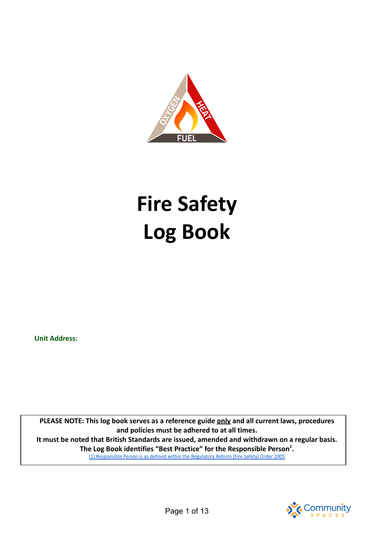

# **Fire Safety Log Book**

**Unit Address:**

**PLEASE NOTE: This log book serves as a reference guide only and all current laws, procedures and policies must be adhered to at all times. It must be noted that British Standards are issued, amended and withdrawn on a regular basis. The Log Book identifies "Best Practice" for the Responsible Person<sup>1</sup> .** (1) [Responsible](https://www.legislation.gov.uk/uksi/2005/1541/contents/made) Person is as defined within the Regulatory Reform (Fire Safety) Order 2005

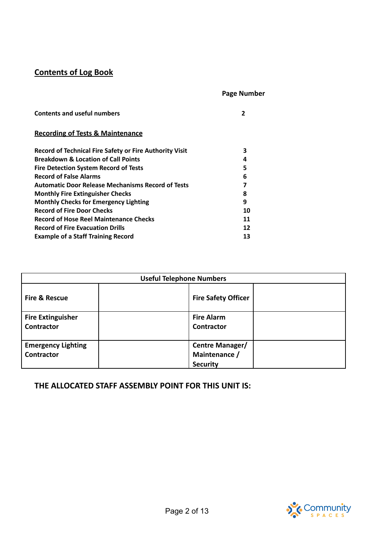# **Contents of Log Book**

# **Page Number**

| <b>Contents and useful numbers</b>                       |    |
|----------------------------------------------------------|----|
| <b>Recording of Tests &amp; Maintenance</b>              |    |
| Record of Technical Fire Safety or Fire Authority Visit  | з  |
| <b>Breakdown &amp; Location of Call Points</b>           | 4  |
| <b>Fire Detection System Record of Tests</b>             | 5  |
| <b>Record of False Alarms</b>                            | 6  |
| <b>Automatic Door Release Mechanisms Record of Tests</b> | 7  |
| <b>Monthly Fire Extinguisher Checks</b>                  | 8  |
| <b>Monthly Checks for Emergency Lighting</b>             | 9  |
| <b>Record of Fire Door Checks</b>                        | 10 |
| <b>Record of Hose Reel Maintenance Checks</b>            | 11 |
| <b>Record of Fire Evacuation Drills</b>                  | 12 |
| <b>Example of a Staff Training Record</b>                | 13 |

| <b>Useful Telephone Numbers</b>                                                                       |                                        |  |  |  |  |
|-------------------------------------------------------------------------------------------------------|----------------------------------------|--|--|--|--|
| <b>Fire &amp; Rescue</b><br><b>Fire Safety Officer</b>                                                |                                        |  |  |  |  |
| <b>Fire Extinguisher</b><br><b>Contractor</b>                                                         | <b>Fire Alarm</b><br><b>Contractor</b> |  |  |  |  |
| <b>Emergency Lighting</b><br>Centre Manager/<br>Maintenance /<br><b>Contractor</b><br><b>Security</b> |                                        |  |  |  |  |

**THE ALLOCATED STAFF ASSEMBLY POINT FOR THIS UNIT IS:**

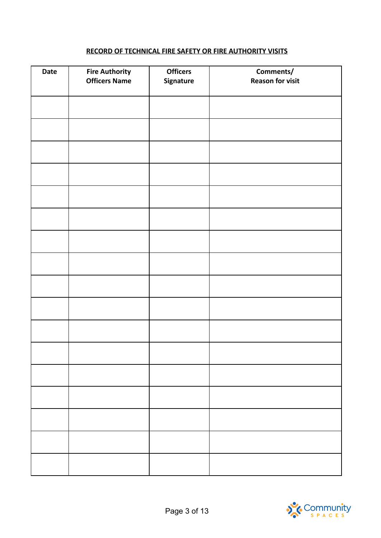#### **RECORD OF TECHNICAL FIRE SAFETY OR FIRE AUTHORITY VISITS**

| <b>Date</b> | <b>Fire Authority</b><br><b>Officers Name</b> | <b>Officers</b><br>Signature | Comments/<br><b>Reason for visit</b> |
|-------------|-----------------------------------------------|------------------------------|--------------------------------------|
|             |                                               |                              |                                      |
|             |                                               |                              |                                      |
|             |                                               |                              |                                      |
|             |                                               |                              |                                      |
|             |                                               |                              |                                      |
|             |                                               |                              |                                      |
|             |                                               |                              |                                      |
|             |                                               |                              |                                      |
|             |                                               |                              |                                      |
|             |                                               |                              |                                      |
|             |                                               |                              |                                      |
|             |                                               |                              |                                      |
|             |                                               |                              |                                      |
|             |                                               |                              |                                      |
|             |                                               |                              |                                      |
|             |                                               |                              |                                      |

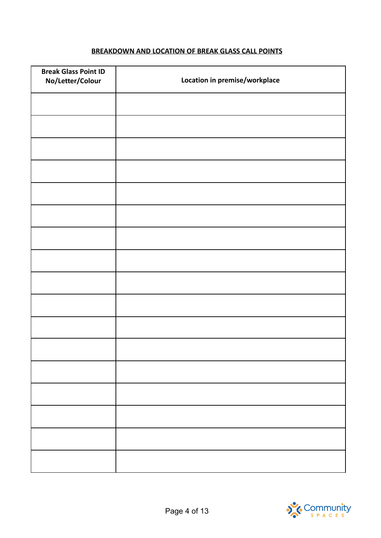## **BREAKDOWN AND LOCATION OF BREAK GLASS CALL POINTS**

| <b>Break Glass Point ID</b><br>No/Letter/Colour | Location in premise/workplace |
|-------------------------------------------------|-------------------------------|
|                                                 |                               |
|                                                 |                               |
|                                                 |                               |
|                                                 |                               |
|                                                 |                               |
|                                                 |                               |
|                                                 |                               |
|                                                 |                               |
|                                                 |                               |
|                                                 |                               |
|                                                 |                               |
|                                                 |                               |
|                                                 |                               |
|                                                 |                               |
|                                                 |                               |
|                                                 |                               |
|                                                 |                               |

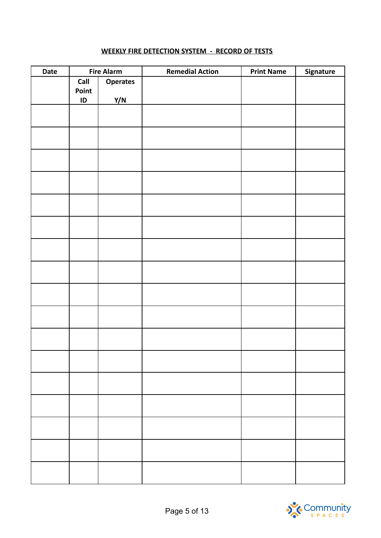#### **WEEKLY FIRE DETECTION SYSTEM - RECORD OF TESTS**

| Date |               | <b>Fire Alarm</b> | <b>Remedial Action</b> | <b>Print Name</b> | Signature |
|------|---------------|-------------------|------------------------|-------------------|-----------|
|      | Call<br>Point | <b>Operates</b>   |                        |                   |           |
|      | $\sf ID$      | Y/N               |                        |                   |           |
|      |               |                   |                        |                   |           |
|      |               |                   |                        |                   |           |
|      |               |                   |                        |                   |           |
|      |               |                   |                        |                   |           |
|      |               |                   |                        |                   |           |
|      |               |                   |                        |                   |           |
|      |               |                   |                        |                   |           |
|      |               |                   |                        |                   |           |
|      |               |                   |                        |                   |           |
|      |               |                   |                        |                   |           |
|      |               |                   |                        |                   |           |
|      |               |                   |                        |                   |           |
|      |               |                   |                        |                   |           |
|      |               |                   |                        |                   |           |
|      |               |                   |                        |                   |           |
|      |               |                   |                        |                   |           |
|      |               |                   |                        |                   |           |

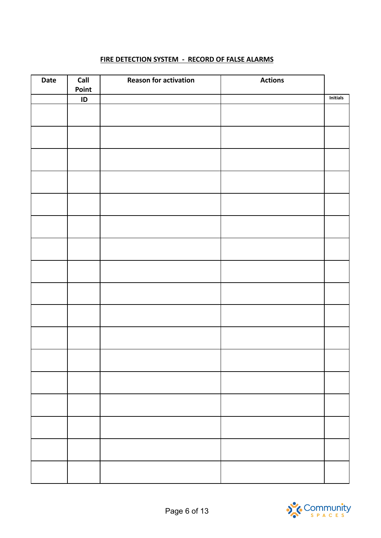# **FIRE DETECTION SYSTEM - RECORD OF FALSE ALARMS**

| Date | Call<br>Point | <b>Reason for activation</b> | <b>Actions</b> |          |
|------|---------------|------------------------------|----------------|----------|
|      | ID            |                              |                | Initials |
|      |               |                              |                |          |
|      |               |                              |                |          |
|      |               |                              |                |          |
|      |               |                              |                |          |
|      |               |                              |                |          |
|      |               |                              |                |          |
|      |               |                              |                |          |
|      |               |                              |                |          |
|      |               |                              |                |          |
|      |               |                              |                |          |
|      |               |                              |                |          |
|      |               |                              |                |          |
|      |               |                              |                |          |
|      |               |                              |                |          |
|      |               |                              |                |          |
|      |               |                              |                |          |
|      |               |                              |                |          |
|      |               |                              |                |          |
|      |               |                              |                |          |
|      |               |                              |                |          |
|      |               |                              |                |          |
|      |               |                              |                |          |
|      |               |                              |                |          |

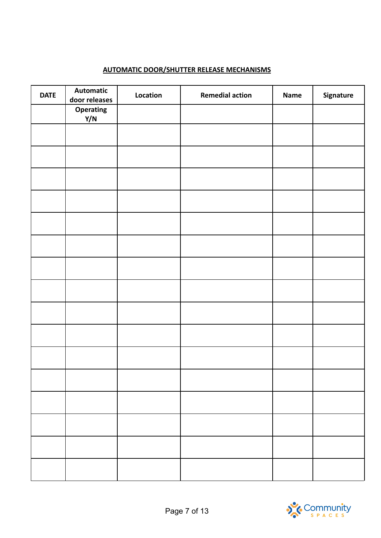# **AUTOMATIC DOOR/SHUTTER RELEASE MECHANISMS**

| <b>DATE</b> | <b>Automatic</b><br>door releases | Location | <b>Remedial action</b> | Name | Signature |
|-------------|-----------------------------------|----------|------------------------|------|-----------|
|             | Operating<br>Y/N                  |          |                        |      |           |
|             |                                   |          |                        |      |           |
|             |                                   |          |                        |      |           |
|             |                                   |          |                        |      |           |
|             |                                   |          |                        |      |           |
|             |                                   |          |                        |      |           |
|             |                                   |          |                        |      |           |
|             |                                   |          |                        |      |           |
|             |                                   |          |                        |      |           |
|             |                                   |          |                        |      |           |
|             |                                   |          |                        |      |           |
|             |                                   |          |                        |      |           |
|             |                                   |          |                        |      |           |
|             |                                   |          |                        |      |           |
|             |                                   |          |                        |      |           |
|             |                                   |          |                        |      |           |
|             |                                   |          |                        |      |           |

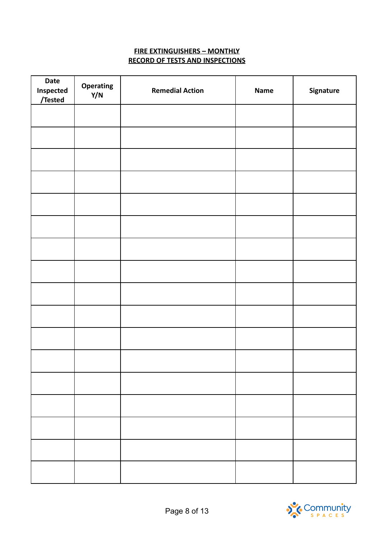#### **FIRE EXTINGUISHERS – MONTHLY RECORD OF TESTS AND INSPECTIONS**

| <b>Date</b><br>Inspected<br>/Tested | Operating<br>Y/N | <b>Remedial Action</b> | Name | Signature |
|-------------------------------------|------------------|------------------------|------|-----------|
|                                     |                  |                        |      |           |
|                                     |                  |                        |      |           |
|                                     |                  |                        |      |           |
|                                     |                  |                        |      |           |
|                                     |                  |                        |      |           |
|                                     |                  |                        |      |           |
|                                     |                  |                        |      |           |
|                                     |                  |                        |      |           |
|                                     |                  |                        |      |           |
|                                     |                  |                        |      |           |
|                                     |                  |                        |      |           |
|                                     |                  |                        |      |           |
|                                     |                  |                        |      |           |
|                                     |                  |                        |      |           |
|                                     |                  |                        |      |           |
|                                     |                  |                        |      |           |
|                                     |                  |                        |      |           |

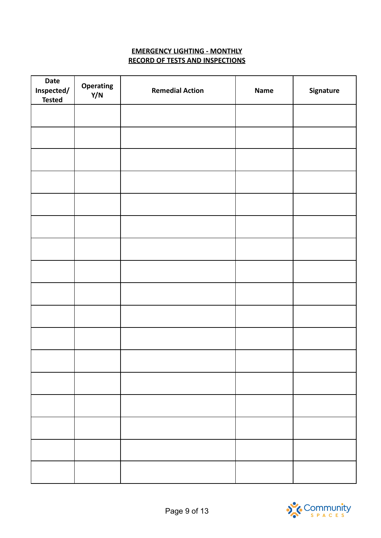#### **EMERGENCY LIGHTING - MONTHLY RECORD OF TESTS AND INSPECTIONS**

| <b>Date</b><br>Inspected/<br><b>Tested</b> | Operating<br>Y/N | <b>Remedial Action</b> | Name | Signature |
|--------------------------------------------|------------------|------------------------|------|-----------|
|                                            |                  |                        |      |           |
|                                            |                  |                        |      |           |
|                                            |                  |                        |      |           |
|                                            |                  |                        |      |           |
|                                            |                  |                        |      |           |
|                                            |                  |                        |      |           |
|                                            |                  |                        |      |           |
|                                            |                  |                        |      |           |
|                                            |                  |                        |      |           |
|                                            |                  |                        |      |           |
|                                            |                  |                        |      |           |
|                                            |                  |                        |      |           |
|                                            |                  |                        |      |           |
|                                            |                  |                        |      |           |
|                                            |                  |                        |      |           |
|                                            |                  |                        |      |           |
|                                            |                  |                        |      |           |

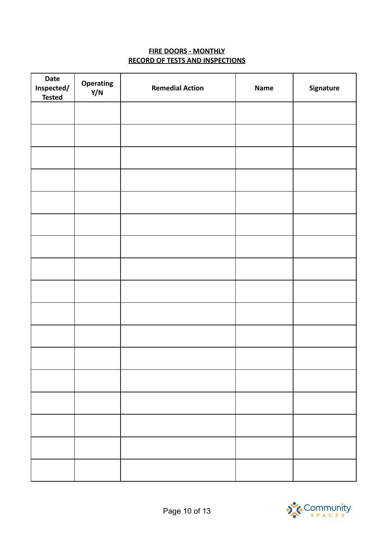## **FIRE DOORS - MONTHLY RECORD OF TESTS AND INSPECTIONS**

| Date<br>Inspected/<br><b>Tested</b> | Operating<br>Y/N | <b>Remedial Action</b> | Name | Signature |
|-------------------------------------|------------------|------------------------|------|-----------|
|                                     |                  |                        |      |           |
|                                     |                  |                        |      |           |
|                                     |                  |                        |      |           |
|                                     |                  |                        |      |           |
|                                     |                  |                        |      |           |
|                                     |                  |                        |      |           |
|                                     |                  |                        |      |           |
|                                     |                  |                        |      |           |
|                                     |                  |                        |      |           |
|                                     |                  |                        |      |           |
|                                     |                  |                        |      |           |
|                                     |                  |                        |      |           |
|                                     |                  |                        |      |           |
|                                     |                  |                        |      |           |
|                                     |                  |                        |      |           |
|                                     |                  |                        |      |           |
|                                     |                  |                        |      |           |

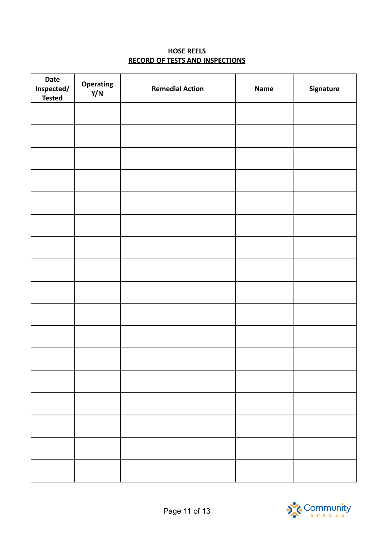## **HOSE REELS RECORD OF TESTS AND INSPECTIONS**

| <b>Date</b><br>Inspected/<br><b>Tested</b> | Operating<br>Y/N | <b>Remedial Action</b> | Name | Signature |
|--------------------------------------------|------------------|------------------------|------|-----------|
|                                            |                  |                        |      |           |
|                                            |                  |                        |      |           |
|                                            |                  |                        |      |           |
|                                            |                  |                        |      |           |
|                                            |                  |                        |      |           |
|                                            |                  |                        |      |           |
|                                            |                  |                        |      |           |
|                                            |                  |                        |      |           |
|                                            |                  |                        |      |           |
|                                            |                  |                        |      |           |
|                                            |                  |                        |      |           |
|                                            |                  |                        |      |           |
|                                            |                  |                        |      |           |
|                                            |                  |                        |      |           |
|                                            |                  |                        |      |           |
|                                            |                  |                        |      |           |
|                                            |                  |                        |      |           |

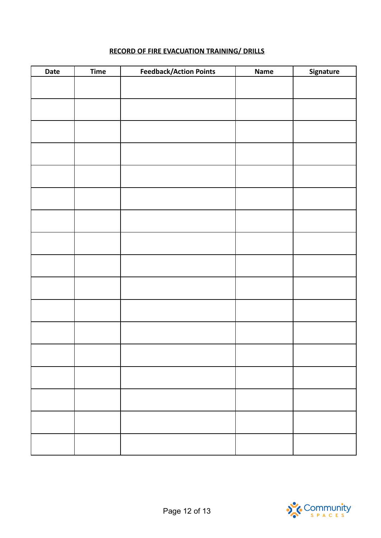| Date | <b>Time</b> | <b>Feedback/Action Points</b> | <b>Name</b> | Signature |
|------|-------------|-------------------------------|-------------|-----------|
|      |             |                               |             |           |
|      |             |                               |             |           |
|      |             |                               |             |           |
|      |             |                               |             |           |
|      |             |                               |             |           |
|      |             |                               |             |           |
|      |             |                               |             |           |
|      |             |                               |             |           |
|      |             |                               |             |           |
|      |             |                               |             |           |
|      |             |                               |             |           |
|      |             |                               |             |           |
|      |             |                               |             |           |
|      |             |                               |             |           |
|      |             |                               |             |           |
|      |             |                               |             |           |
|      |             |                               |             |           |

# **RECORD OF FIRE EVACUATION TRAINING/ DRILLS**